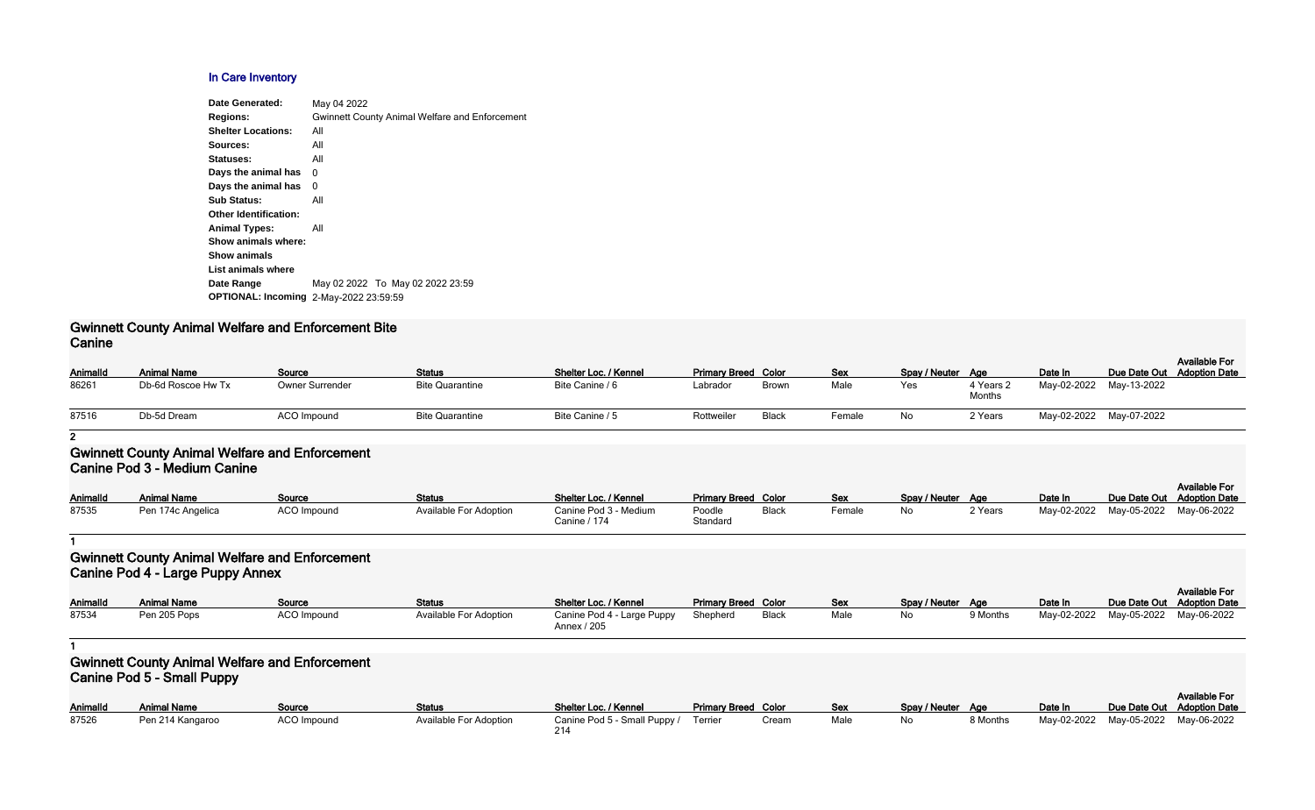## **In Care Inventory**

| Date Generated:                               | May 04 2022                                           |
|-----------------------------------------------|-------------------------------------------------------|
| <b>Regions:</b>                               | <b>Gwinnett County Animal Welfare and Enforcement</b> |
| <b>Shelter Locations:</b>                     | All                                                   |
| Sources:                                      | All                                                   |
| Statuses:                                     | All                                                   |
| Days the animal has                           | 0                                                     |
| Days the animal has                           | 0                                                     |
| <b>Sub Status:</b>                            | All                                                   |
| <b>Other Identification:</b>                  |                                                       |
| <b>Animal Types:</b>                          | All                                                   |
| Show animals where:                           |                                                       |
| <b>Show animals</b>                           |                                                       |
| List animals where                            |                                                       |
| Date Range                                    | May 02 2022 To May 02 2022 23:59                      |
| <b>OPTIONAL: Incoming 2-May-2022 23:59:59</b> |                                                       |
|                                               |                                                       |

### **Gwinnett County Animal Welfare and Enforcement Bite Canine**

| Animalld | <b>Animal Name</b> | Source                 | <b>Status</b>          | Shelter Loc. / Kennel | <b>Primary Breed Color</b> |              | <b>Sex</b> | Spay / Neuter Age |                     | Date In     |             | <b>Available For</b><br>Due Date Out Adoption Date |
|----------|--------------------|------------------------|------------------------|-----------------------|----------------------------|--------------|------------|-------------------|---------------------|-------------|-------------|----------------------------------------------------|
| 86261    | Db-6d Roscoe Hw Tx | <b>Owner Surrender</b> | <b>Bite Quarantine</b> | Bite Canine / 6       | Labrador                   | <b>Brown</b> | Male       | Yes               | 4 Years 2<br>Months | May-02-2022 | May-13-2022 |                                                    |
| 87516    | Db-5d Dream        | ACO Impound            | <b>Bite Quarantine</b> | Bite Canine / 5       | Rottweiler                 | Black        | Female     | No                | 2 Years             | May-02-2022 | May-07-2022 |                                                    |

**2**

## **Gwinnett County Animal Welfare and Enforcement Canine Pod 3 - Medium Canine**

| Animalld | <b>Animal Name</b> | Source      | <b>Status</b>                 | Shelter Loc. / Kennel                 | <b>Primary Breed Color</b> |              | <b>Sex</b> | Spay / Neuter Age |         | Date In                             | Due Date Out Adoption Date | <b>Available For</b> |
|----------|--------------------|-------------|-------------------------------|---------------------------------------|----------------------------|--------------|------------|-------------------|---------|-------------------------------------|----------------------------|----------------------|
| 87535    | Pen 174c Angelica  | ACO Impound | <b>Available For Adoption</b> | Canine Pod 3 - Medium<br>Canine / 174 | Poodle<br>Standard         | <b>Black</b> | Female     | No                | 2 Years | May-02-2022 May-05-2022 May-06-2022 |                            |                      |

**1**

# **Gwinnett County Animal Welfare and Enforcement Canine Pod 4 - Large Puppy Annex**

| <b>AnimalId</b> | <b>Animal Name</b> | Source      | <b>Status</b>          | Shelter Loc. / Kennel                     | <b>Primary Breed Color</b> |              | Sex  | Spay / Neuter Age |          | Date In |                                     | <b>Available For</b><br>Due Date Out Adoption Date |
|-----------------|--------------------|-------------|------------------------|-------------------------------------------|----------------------------|--------------|------|-------------------|----------|---------|-------------------------------------|----------------------------------------------------|
| 87534           | Pen 205 Pops       | ACO Impound | Available For Adoption | Canine Pod 4 - Large Puppy<br>Annex / 205 | Shepherd                   | <b>Black</b> | Male | No                | 9 Months |         | May-02-2022 May-05-2022 May-06-2022 |                                                    |

**1**

# **Gwinnett County Animal Welfare and Enforcement Canine Pod 5 - Small Puppy**

| <b>AnimalId</b> | <b>Animal Name</b> | Source      | Status                 | Shelter Loc. / Kennel                | <b>Primary Breed Color</b> |       | <u>Sex</u> | Spay / Neuter Age |          | Date In                 | Due Date Out |
|-----------------|--------------------|-------------|------------------------|--------------------------------------|----------------------------|-------|------------|-------------------|----------|-------------------------|--------------|
| 87526           | Pen 214 Kangaroo   | ACO Impound | Available For Adoption | Canine Pod 5 - Small Puppy / Terrier |                            | Cream | Male       | No                | 8 Months | May-02-2022 May-05-2022 |              |
|                 |                    |             |                        |                                      |                            |       |            |                   |          |                         |              |

|                            |       |      |               |          |             |                            | <b>Available For</b> |
|----------------------------|-------|------|---------------|----------|-------------|----------------------------|----------------------|
| <b>Primary Breed Color</b> |       | Sex  | Spay / Neuter | Aae      | Date In     | Due Date Out Adoption Date |                      |
| Terrier                    | Cream | Male | No            | 8 Months | May-02-2022 | Mav-05-2022                | Mav-06-2022          |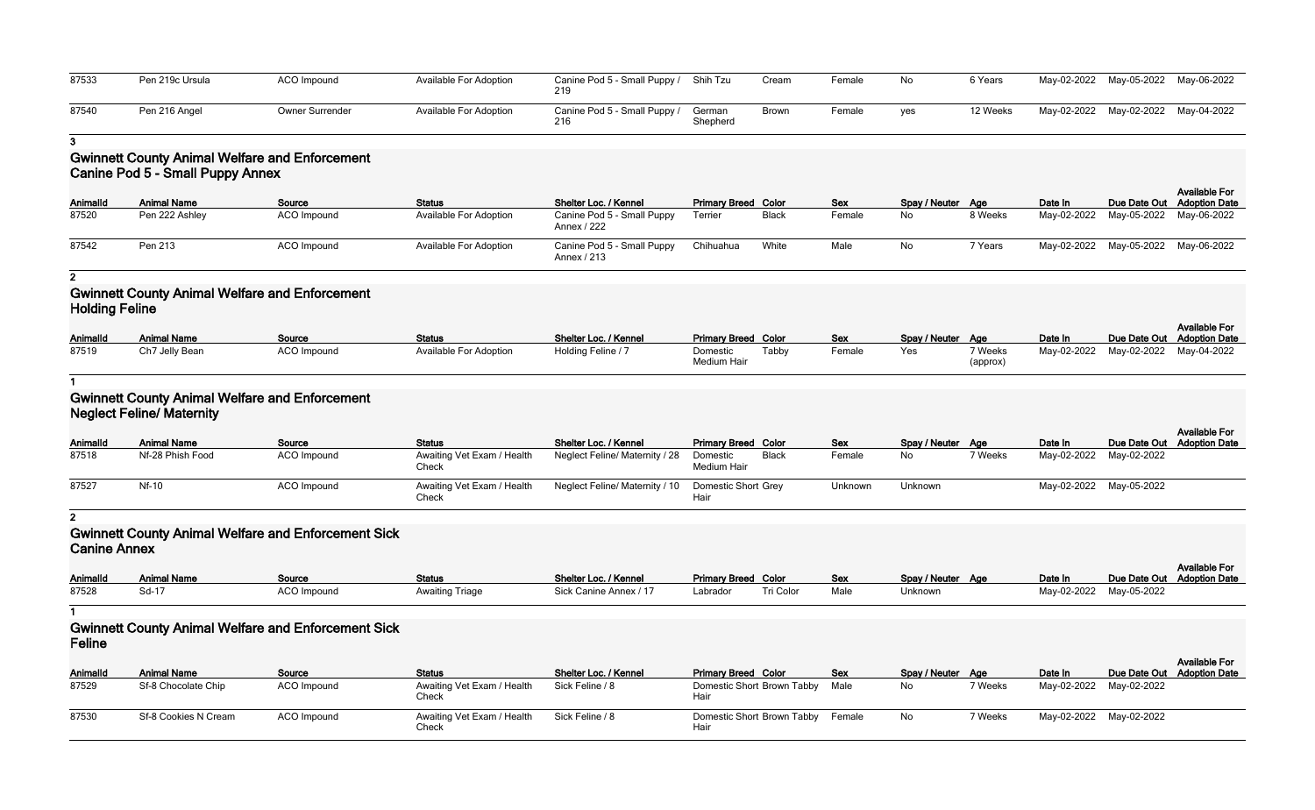| 87533 | Pen 219c Ursula | ACO Impound            | <b>Available For Adoption</b> | Canine Pod 5 - Small Puppy / Shih Tzu<br>219 |                    | Cream        | Female | No  | 6 Years  | May-02-2022 May-05-2022 May-06-2022 |  |
|-------|-----------------|------------------------|-------------------------------|----------------------------------------------|--------------------|--------------|--------|-----|----------|-------------------------------------|--|
| 87540 | Pen 216 Angel   | <b>Owner Surrender</b> | Available For Adoption        | Canine Pod 5 - Small Puppy /<br>216          | German<br>Shepherd | <b>Brown</b> | Female | ves | 12 Weeks | May-02-2022 May-02-2022 May-04-2022 |  |

**3**

# **Gwinnett County Animal Welfare and Enforcement Canine Pod 5 - Small Puppy Annex**

| Animalld | <b>Animal Name</b> | Source      | <b>Status</b>                 | Shelter Loc. / Kennel                     | <b>Primary Breed Color</b> |              | <b>Sex</b> | Spay / Neuter Age |         | Date In                             | <b>Available For</b><br>Due Date Out Adoption Date |
|----------|--------------------|-------------|-------------------------------|-------------------------------------------|----------------------------|--------------|------------|-------------------|---------|-------------------------------------|----------------------------------------------------|
| 87520    | Pen 222 Ashley     | ACO Impound | <b>Available For Adoption</b> | Canine Pod 5 - Small Puppy<br>Annex / 222 | Terrier                    | <b>Black</b> | Female     | <b>No</b>         | 8 Weeks | May-02-2022 May-05-2022 May-06-2022 |                                                    |
| 87542    | Pen 213            | ACO Impound | Available For Adoption        | Canine Pod 5 - Small Puppy<br>Annex / 213 | Chihuahua                  | White        | Male       | No.               | 7 Years | May-02-2022 May-05-2022 May-06-2022 |                                                    |

#### **2**

# **Gwinnett County Animal Welfare and Enforcement Holding Feline**

| Animalld | <b>Animal Name</b> | Source             | <b>Status</b>          | Shelter Loc. / Kennel | <b>Primary Breed Color</b>     |       | <b>Sex</b> | Spay / Neuter Age |                     | Date In                             | Due Date Out Adoption Date | <b>Available For</b> |
|----------|--------------------|--------------------|------------------------|-----------------------|--------------------------------|-------|------------|-------------------|---------------------|-------------------------------------|----------------------------|----------------------|
| 87519    | Ch7 Jelly Bean     | <b>ACO Impound</b> | Available For Adoption | Holding Feline / 7    | Domestic<br><b>Medium Hair</b> | Tabby | Female     | Yes               | 7 Weeks<br>(approx) | May-02-2022 May-02-2022 May-04-2022 |                            |                      |

#### **1**

## **Gwinnett County Animal Welfare and Enforcement Neglect Feline/ Maternity**

| <b>AnimalId</b> | <b>Animal Name</b> | Source      | <b>Status</b>                       | Shelter Loc. / Kennel                              | <b>Primary Breed Color</b> |              | <b>Sex</b> | Spay / Neuter Age |         | Date In                 | Due Date Out Adoption Date | <b>Available For</b> |
|-----------------|--------------------|-------------|-------------------------------------|----------------------------------------------------|----------------------------|--------------|------------|-------------------|---------|-------------------------|----------------------------|----------------------|
| 87518           | Nf-28 Phish Food   | ACO Impound | Awaiting Vet Exam / Health<br>Check | Neglect Feline/ Maternity / 28                     | Domestic<br>Medium Hair    | <b>Black</b> | Female     | No.               | 7 Weeks | May-02-2022 May-02-2022 |                            |                      |
| 87527           | Nf-10              | ACO Impound | Awaiting Vet Exam / Health<br>Check | Neglect Feline/ Maternity / 10 Domestic Short Grey |                            |              | Unknown    | Unknown           |         | May-02-2022 May-05-2022 |                            |                      |

## **2**

# **Gwinnett County Animal Welfare and Enforcement Sick Canine Annex**

| VALIIIV / VIIIVA |                    |                    |                        |                        |                            |           |            |                   |                         |                            |                      |
|------------------|--------------------|--------------------|------------------------|------------------------|----------------------------|-----------|------------|-------------------|-------------------------|----------------------------|----------------------|
|                  |                    |                    |                        |                        |                            |           |            |                   |                         |                            | <b>Available For</b> |
| <b>AnimalId</b>  | <b>Animal Name</b> | Source             | <b>Status</b>          | Shelter Loc. / Kennel  | <b>Primary Breed Color</b> |           | <b>Sex</b> | Spay / Neuter Age | Date In                 | Due Date Out Adoption Date |                      |
| 87528            | $Sd-1$             | <b>ACO Impound</b> | <b>Awaiting Triage</b> | Sick Canine Annex / 17 | Labrador                   | Tri Color | Male       | Unknown           | May-02-2022 May-05-2022 |                            |                      |

**1**

# **Gwinnett County Animal Welfare and Enforcement Sick**

| Feline          |                      |             |                                     |                       |                                           |            |                   |         |                         |                                                    |
|-----------------|----------------------|-------------|-------------------------------------|-----------------------|-------------------------------------------|------------|-------------------|---------|-------------------------|----------------------------------------------------|
| <b>AnimalId</b> | <b>Animal Name</b>   | Source      | <b>Status</b>                       | Shelter Loc. / Kennel | <b>Primary Breed Color</b>                | <b>Sex</b> | Spay / Neuter Age |         | Date In                 | <b>Available For</b><br>Due Date Out Adoption Date |
| 87529           | Sf-8 Chocolate Chip  | ACO Impound | Awaiting Vet Exam / Health<br>Check | Sick Feline / 8       | Domestic Short Brown Tabby Male<br>Hair   |            | No.               | 7 Weeks | May-02-2022 May-02-2022 |                                                    |
| 87530           | Sf-8 Cookies N Cream | ACO Impound | Awaiting Vet Exam / Health<br>Check | Sick Feline / 8       | Domestic Short Brown Tabby Female<br>Hair |            | No                | 7 Weeks | May-02-2022 May-02-2022 |                                                    |